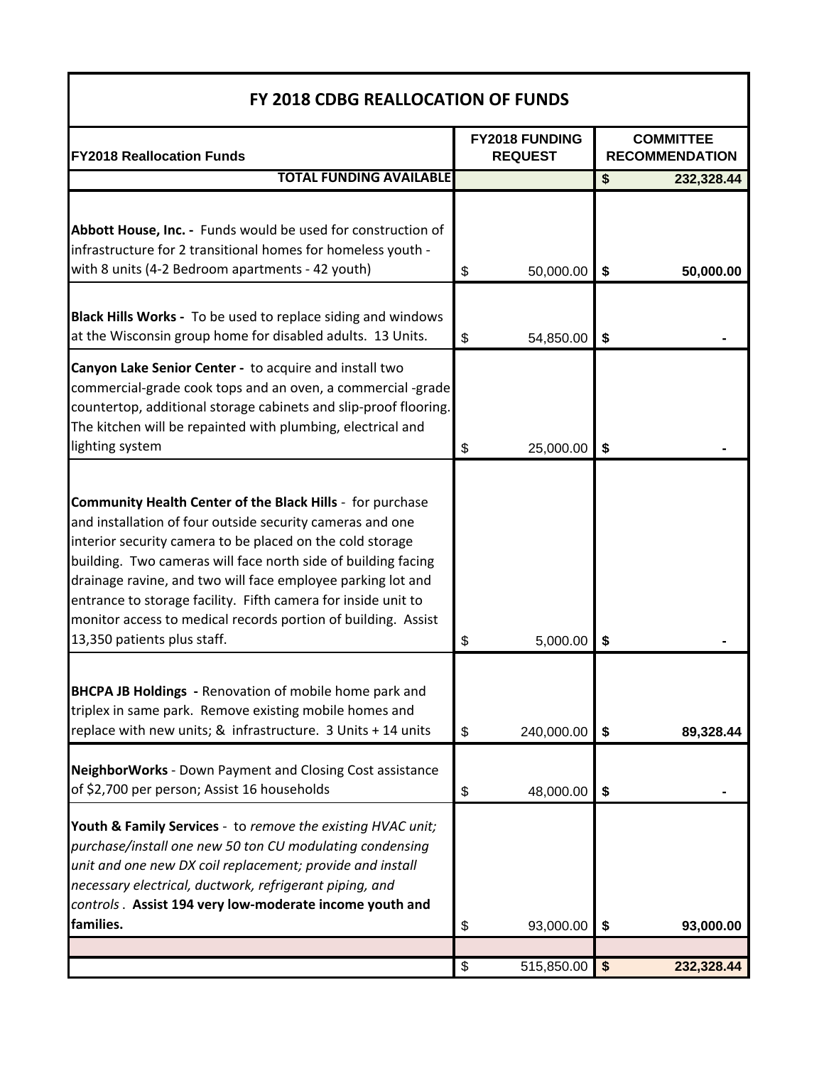## **FY 2018 CDBG REALLOCATION OF FUNDS**

| <b>FY2018 Reallocation Funds</b>                                                                                                                                                                                                                                                                                                                                                                                                                                                     |                         | FY2018 FUNDING<br><b>REQUEST</b> |            | <b>COMMITTEE</b><br><b>RECOMMENDATION</b> |
|--------------------------------------------------------------------------------------------------------------------------------------------------------------------------------------------------------------------------------------------------------------------------------------------------------------------------------------------------------------------------------------------------------------------------------------------------------------------------------------|-------------------------|----------------------------------|------------|-------------------------------------------|
| <b>TOTAL FUNDING AVAILABLE</b>                                                                                                                                                                                                                                                                                                                                                                                                                                                       |                         |                                  | \$         | 232,328.44                                |
| Abbott House, Inc. - Funds would be used for construction of<br>infrastructure for 2 transitional homes for homeless youth -<br>with 8 units (4-2 Bedroom apartments - 42 youth)                                                                                                                                                                                                                                                                                                     | \$                      | 50,000.00                        | \$         | 50,000.00                                 |
| Black Hills Works - To be used to replace siding and windows<br>at the Wisconsin group home for disabled adults. 13 Units.                                                                                                                                                                                                                                                                                                                                                           | \$                      | 54,850.00                        | \$         |                                           |
| Canyon Lake Senior Center - to acquire and install two<br>commercial-grade cook tops and an oven, a commercial -grade<br>countertop, additional storage cabinets and slip-proof flooring.<br>The kitchen will be repainted with plumbing, electrical and<br>lighting system                                                                                                                                                                                                          | \$                      | 25,000.00                        | \$         |                                           |
| Community Health Center of the Black Hills - for purchase<br>and installation of four outside security cameras and one<br>interior security camera to be placed on the cold storage<br>building. Two cameras will face north side of building facing<br>drainage ravine, and two will face employee parking lot and<br>entrance to storage facility. Fifth camera for inside unit to<br>monitor access to medical records portion of building. Assist<br>13,350 patients plus staff. | \$                      | 5,000.00                         | \$         |                                           |
| <b>BHCPA JB Holdings</b> - Renovation of mobile home park and<br>triplex in same park. Remove existing mobile homes and<br>replace with new units; & infrastructure. 3 Units + 14 units                                                                                                                                                                                                                                                                                              | \$                      | 240,000.00                       | \$         | 89,328.44                                 |
| NeighborWorks - Down Payment and Closing Cost assistance<br>of \$2,700 per person; Assist 16 households                                                                                                                                                                                                                                                                                                                                                                              | \$                      | 48,000.00                        | \$         |                                           |
| Youth & Family Services - to remove the existing HVAC unit;<br>purchase/install one new 50 ton CU modulating condensing<br>unit and one new DX coil replacement; provide and install<br>necessary electrical, ductwork, refrigerant piping, and<br>controls. Assist 194 very low-moderate income youth and<br>families.                                                                                                                                                              | \$                      | 93,000.00                        | \$         | 93,000.00                                 |
|                                                                                                                                                                                                                                                                                                                                                                                                                                                                                      | $\overline{\mathbf{S}}$ | 515,850.00                       | $\sqrt{3}$ | 232,328.44                                |